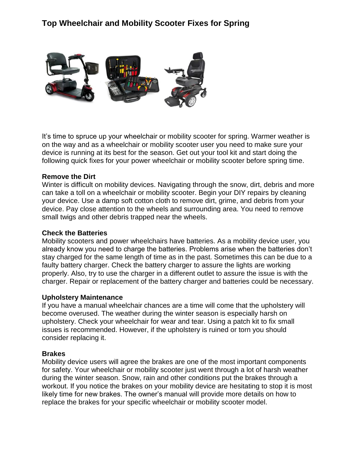# **Top Wheelchair and Mobility Scooter Fixes for Spring**



It's time to spruce up your wheelchair or mobility scooter for spring. Warmer weather is on the way and as a wheelchair or mobility scooter user you need to make sure your device is running at its best for the season. Get out your tool kit and start doing the following quick fixes for your power wheelchair or mobility scooter before spring time.

### **Remove the Dirt**

Winter is difficult on mobility devices. Navigating through the snow, dirt, debris and more can take a toll on a wheelchair or mobility scooter. Begin your DIY repairs by cleaning your device. Use a damp soft cotton cloth to remove dirt, grime, and debris from your device. Pay close attention to the wheels and surrounding area. You need to remove small twigs and other debris trapped near the wheels.

#### **Check the Batteries**

Mobility scooters and power wheelchairs have batteries. As a mobility device user, you already know you need to charge the batteries. Problems arise when the batteries don't stay charged for the same length of time as in the past. Sometimes this can be due to a faulty battery charger. Check the battery charger to assure the lights are working properly. Also, try to use the charger in a different outlet to assure the issue is with the charger. Repair or replacement of the battery charger and batteries could be necessary.

# **Upholstery Maintenance**

If you have a manual wheelchair chances are a time will come that the upholstery will become overused. The weather during the winter season is especially harsh on upholstery. Check your wheelchair for wear and tear. Using a patch kit to fix small issues is recommended. However, if the upholstery is ruined or torn you should consider replacing it.

# **Brakes**

Mobility device users will agree the brakes are one of the most important components for safety. Your wheelchair or mobility scooter just went through a lot of harsh weather during the winter season. Snow, rain and other conditions put the brakes through a workout. If you notice the brakes on your mobility device are hesitating to stop it is most likely time for new brakes. The owner's manual will provide more details on how to replace the brakes for your specific wheelchair or mobility scooter model.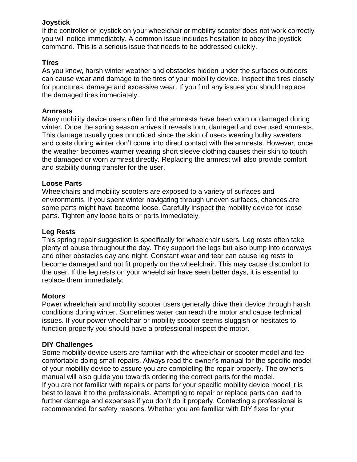# **Joystick**

If the controller or joystick on your wheelchair or mobility scooter does not work correctly you will notice immediately. A common issue includes hesitation to obey the joystick command. This is a serious issue that needs to be addressed quickly.

# **Tires**

As you know, harsh winter weather and obstacles hidden under the surfaces outdoors can cause wear and damage to the tires of your mobility device. Inspect the tires closely for punctures, damage and excessive wear. If you find any issues you should replace the damaged tires immediately.

# **Armrests**

Many mobility device users often find the armrests have been worn or damaged during winter. Once the spring season arrives it reveals torn, damaged and overused armrests. This damage usually goes unnoticed since the skin of users wearing bulky sweaters and coats during winter don't come into direct contact with the armrests. However, once the weather becomes warmer wearing short sleeve clothing causes their skin to touch the damaged or worn armrest directly. Replacing the armrest will also provide comfort and stability during transfer for the user.

# **Loose Parts**

Wheelchairs and mobility scooters are exposed to a variety of surfaces and environments. If you spent winter navigating through uneven surfaces, chances are some parts might have become loose. Carefully inspect the mobility device for loose parts. Tighten any loose bolts or parts immediately.

# **Leg Rests**

This spring repair suggestion is specifically for wheelchair users. Leg rests often take plenty of abuse throughout the day. They support the legs but also bump into doorways and other obstacles day and night. Constant wear and tear can cause leg rests to become damaged and not fit properly on the wheelchair. This may cause discomfort to the user. If the leg rests on your wheelchair have seen better days, it is essential to replace them immediately.

# **Motors**

Power wheelchair and mobility scooter users generally drive their device through harsh conditions during winter. Sometimes water can reach the motor and cause technical issues. If your power wheelchair or mobility scooter seems sluggish or hesitates to function properly you should have a professional inspect the motor.

# **DIY Challenges**

Some mobility device users are familiar with the wheelchair or scooter model and feel comfortable doing small repairs. Always read the owner's manual for the specific model of your mobility device to assure you are completing the repair properly. The owner's manual will also guide you towards ordering the correct parts for the model. If you are not familiar with repairs or parts for your specific mobility device model it is best to leave it to the professionals. Attempting to repair or replace parts can lead to further damage and expenses if you don't do it properly. Contacting a professional is recommended for safety reasons. Whether you are familiar with DIY fixes for your